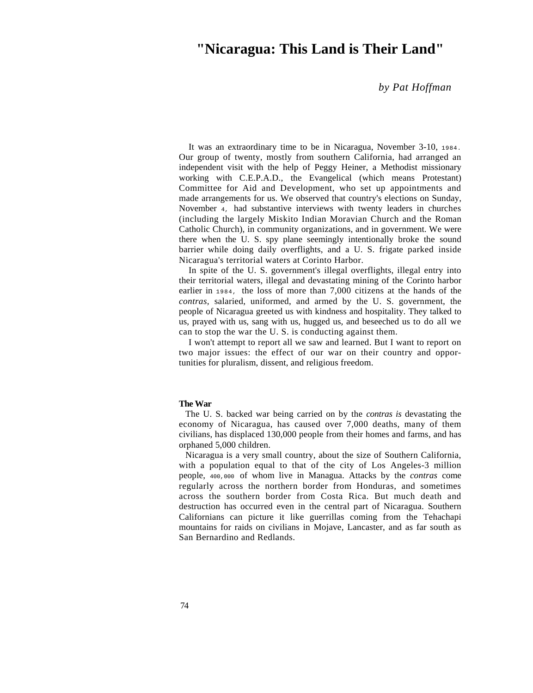## **"Nicaragua: This Land is Their Land"**

*by Pat Hoffman*

It was an extraordinary time to be in Nicaragua, November 3-10, 1984. Our group of twenty, mostly from southern California, had arranged an independent visit with the help of Peggy Heiner, a Methodist missionary working with C.E.P.A.D., the Evangelical (which means Protestant) Committee for Aid and Development, who set up appointments and made arrangements for us. We observed that country's elections on Sunday, November 4, had substantive interviews with twenty leaders in churches (including the largely Miskito Indian Moravian Church and the Roman Catholic Church), in community organizations, and in government. We were there when the U. S. spy plane seemingly intentionally broke the sound barrier while doing daily overflights, and a U. S. frigate parked inside Nicaragua's territorial waters at Corinto Harbor.

In spite of the U. S. government's illegal overflights, illegal entry into their territorial waters, illegal and devastating mining of the Corinto harbor earlier in 1984, the loss of more than 7,000 citizens at the hands of the *contras,* salaried, uniformed, and armed by the U. S. government, the people of Nicaragua greeted us with kindness and hospitality. They talked to us, prayed with us, sang with us, hugged us, and beseeched us to do all we can to stop the war the U. S. is conducting against them.

I won't attempt to report all we saw and learned. But I want to report on two major issues: the effect of our war on their country and opportunities for pluralism, dissent, and religious freedom.

## **The War**

The U. S. backed war being carried on by the *contras is* devastating the economy of Nicaragua, has caused over 7,000 deaths, many of them civilians, has displaced 130,000 people from their homes and farms, and has orphaned 5,000 children.

Nicaragua is a very small country, about the size of Southern California, with a population equal to that of the city of Los Angeles-3 million people, 400,000 of whom live in Managua. Attacks by the *contras* come regularly across the northern border from Honduras, and sometimes across the southern border from Costa Rica. But much death and destruction has occurred even in the central part of Nicaragua. Southern Californians can picture it like guerrillas coming from the Tehachapi mountains for raids on civilians in Mojave, Lancaster, and as far south as San Bernardino and Redlands.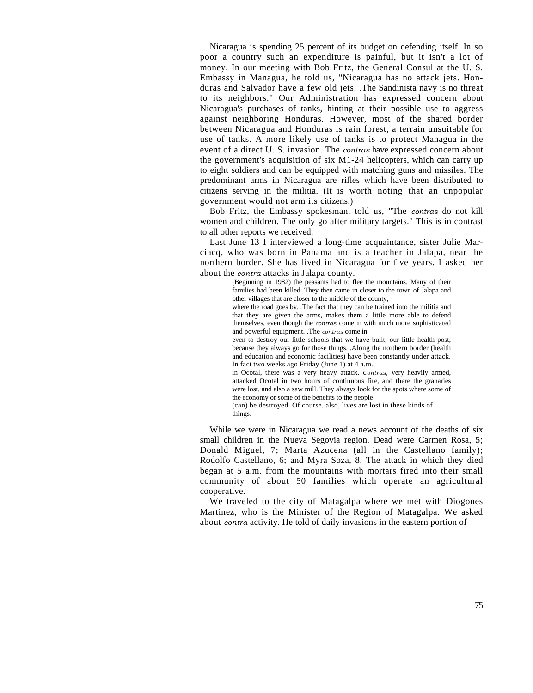Nicaragua is spending 25 percent of its budget on defending itself. In so poor a country such an expenditure is painful, but it isn't a lot of money. In our meeting with Bob Fritz, the General Consul at the U. S. Embassy in Managua, he told us, "Nicaragua has no attack jets. Honduras and Salvador have a few old jets. .The Sandinista navy is no threat to its neighbors." Our Administration has expressed concern about Nicaragua's purchases of tanks, hinting at their possible use to aggress against neighboring Honduras. However, most of the shared border between Nicaragua and Honduras is rain forest, a terrain unsuitable for use of tanks. A more likely use of tanks is to protect Managua in the event of a direct U. S. invasion. The *contras* have expressed concern about the government's acquisition of six M1-24 helicopters, which can carry up to eight soldiers and can be equipped with matching guns and missiles. The predominant arms in Nicaragua are rifles which have been distributed to citizens serving in the militia. (It is worth noting that an unpopular government would not arm its citizens.)

Bob Fritz, the Embassy spokesman, told us, "The *contras* do not kill women and children. The only go after military targets." This is in contrast to all other reports we received.

Last June 13 I interviewed a long-time acquaintance, sister Julie Marciacq, who was born in Panama and is a teacher in Jalapa, near the northern border. She has lived in Nicaragua for five years. I asked her about the *contra* attacks in Jalapa county.

(Beginning in 1982) the peasants had to flee the mountains. Many of their families had been killed. They then came in closer to the town of Jalapa and other villages that are closer to the middle of the county, where the road goes by. .The fact that they can be trained into the militia and that they are given the arms, makes them a little more able to defend themselves, even though the *contras* come in with much more sophisticated and powerful equipment. .The *contras* come in even to destroy our little schools that we have built; our little health post, because they always go for those things. .Along the northern border (health and education and economic facilities) have been constantly under attack. In fact two weeks ago Friday (June 1) at 4 a.m. in Ocotal, there was a very heavy attack. *Contras,* very heavily armed, attacked Ocotal in two hours of continuous fire, and there the granaries were lost, and also a saw mill. They always look for the spots where some of the economy or some of the benefits to the people

(can) be destroyed. Of course, also, lives are lost in these kinds of things.

While we were in Nicaragua we read a news account of the deaths of six small children in the Nueva Segovia region. Dead were Carmen Rosa, 5; Donald Miguel, 7; Marta Azucena (all in the Castellano family); Rodolfo Castellano, 6; and Myra Soza, 8. The attack in which they died began at 5 a.m. from the mountains with mortars fired into their small community of about 50 families which operate an agricultural cooperative.

We traveled to the city of Matagalpa where we met with Diogones Martinez, who is the Minister of the Region of Matagalpa. We asked about *contra* activity. He told of daily invasions in the eastern portion of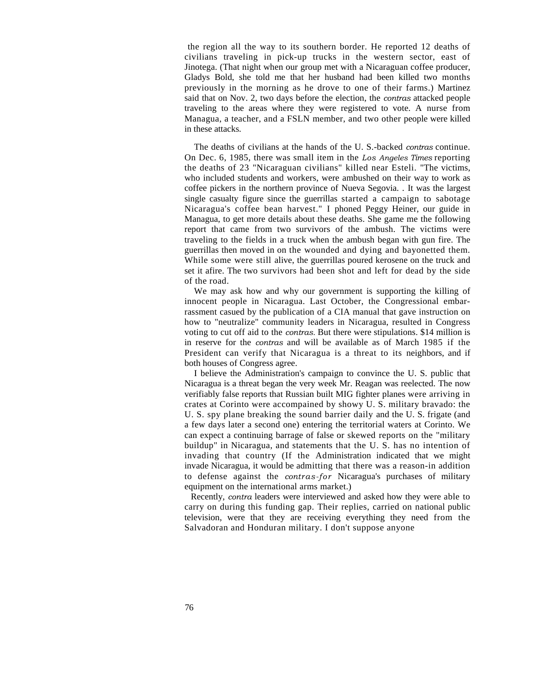the region all the way to its southern border. He reported 12 deaths of civilians traveling in pick-up trucks in the western sector, east of Jinotega. (That night when our group met with a Nicaraguan coffee producer, Gladys Bold, she told me that her husband had been killed two months previously in the morning as he drove to one of their farms.) Martinez said that on Nov. 2, two days before the election, the *contras* attacked people traveling to the areas where they were registered to vote. A nurse from Managua, a teacher, and a FSLN member, and two other people were killed in these attacks.

The deaths of civilians at the hands of the U. S.-backed *contras* continue. On Dec. 6, 1985, there was small item in the *Los Angeles Times* reporting the deaths of 23 "Nicaraguan civilians" killed near Esteli. "The victims, who included students and workers, were ambushed on their way to work as coffee pickers in the northern province of Nueva Segovia. . It was the largest single casualty figure since the guerrillas started a campaign to sabotage Nicaragua's coffee bean harvest." I phoned Peggy Heiner, our guide in Managua, to get more details about these deaths. She game me the following report that came from two survivors of the ambush. The victims were traveling to the fields in a truck when the ambush began with gun fire. The guerrillas then moved in on the wounded and dying and bayonetted them. While some were still alive, the guerrillas poured kerosene on the truck and set it afire. The two survivors had been shot and left for dead by the side of the road.

We may ask how and why our government is supporting the killing of innocent people in Nicaragua. Last October, the Congressional embarrassment casued by the publication of a CIA manual that gave instruction on how to "neutralize" community leaders in Nicaragua, resulted in Congress voting to cut off aid to the *contras.* But there were stipulations. \$14 million is in reserve for the *contras* and will be available as of March 1985 if the President can verify that Nicaragua is a threat to its neighbors, and if both houses of Congress agree.

I believe the Administration's campaign to convince the U. S. public that Nicaragua is a threat began the very week Mr. Reagan was reelected. The now verifiably false reports that Russian built MIG fighter planes were arriving in crates at Corinto were accompained by showy U. S. military bravado: the U. S. spy plane breaking the sound barrier daily and the U. S. frigate (and a few days later a second one) entering the territorial waters at Corinto. We can expect a continuing barrage of false or skewed reports on the "military buildup" in Nicaragua, and statements that the U. S. has no intention of invading that country (If the Administration indicated that we might invade Nicaragua, it would be admitting that there was a reason-in addition to defense against the *contras-for* Nicaragua's purchases of military equipment on the international arms market.)

Recently, *contra* leaders were interviewed and asked how they were able to carry on during this funding gap. Their replies, carried on national public television, were that they are receiving everything they need from the Salvadoran and Honduran military. I don't suppose anyone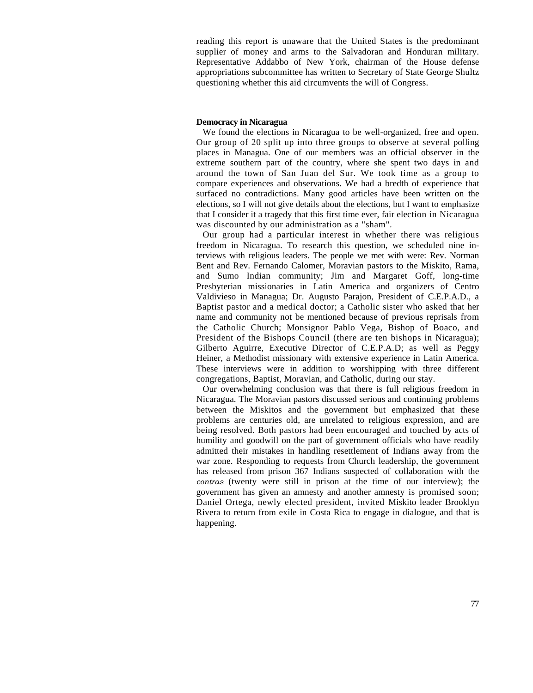reading this report is unaware that the United States is the predominant supplier of money and arms to the Salvadoran and Honduran military. Representative Addabbo of New York, chairman of the House defense appropriations subcommittee has written to Secretary of State George Shultz questioning whether this aid circumvents the will of Congress.

## **Democracy in Nicaragua**

We found the elections in Nicaragua to be well-organized, free and open. Our group of 20 split up into three groups to observe at several polling places in Managua. One of our members was an official observer in the extreme southern part of the country, where she spent two days in and around the town of San Juan del Sur. We took time as a group to compare experiences and observations. We had a bredth of experience that surfaced no contradictions. Many good articles have been written on the elections, so I will not give details about the elections, but I want to emphasize that I consider it a tragedy that this first time ever, fair election in Nicaragua was discounted by our administration as a "sham".

Our group had a particular interest in whether there was religious freedom in Nicaragua. To research this question, we scheduled nine interviews with religious leaders. The people we met with were: Rev. Norman Bent and Rev. Fernando Calomer, Moravian pastors to the Miskito, Rama, and Sumo Indian community; Jim and Margaret Goff, long-time Presbyterian missionaries in Latin America and organizers of Centro Valdivieso in Managua; Dr. Augusto Parajon, President of C.E.P.A.D., a Baptist pastor and a medical doctor; a Catholic sister who asked that her name and community not be mentioned because of previous reprisals from the Catholic Church; Monsignor Pablo Vega, Bishop of Boaco, and President of the Bishops Council (there are ten bishops in Nicaragua); Gilberto Aguirre, Executive Director of C.E.P.A.D; as well as Peggy Heiner, a Methodist missionary with extensive experience in Latin America. These interviews were in addition to worshipping with three different congregations, Baptist, Moravian, and Catholic, during our stay.

Our overwhelming conclusion was that there is full religious freedom in Nicaragua. The Moravian pastors discussed serious and continuing problems between the Miskitos and the government but emphasized that these problems are centuries old, are unrelated to religious expression, and are being resolved. Both pastors had been encouraged and touched by acts of humility and goodwill on the part of government officials who have readily admitted their mistakes in handling resettlement of Indians away from the war zone. Responding to requests from Church leadership, the government has released from prison 367 Indians suspected of collaboration with the *contras* (twenty were still in prison at the time of our interview); the government has given an amnesty and another amnesty is promised soon; Daniel Ortega, newly elected president, invited Miskito leader Brooklyn Rivera to return from exile in Costa Rica to engage in dialogue, and that is happening.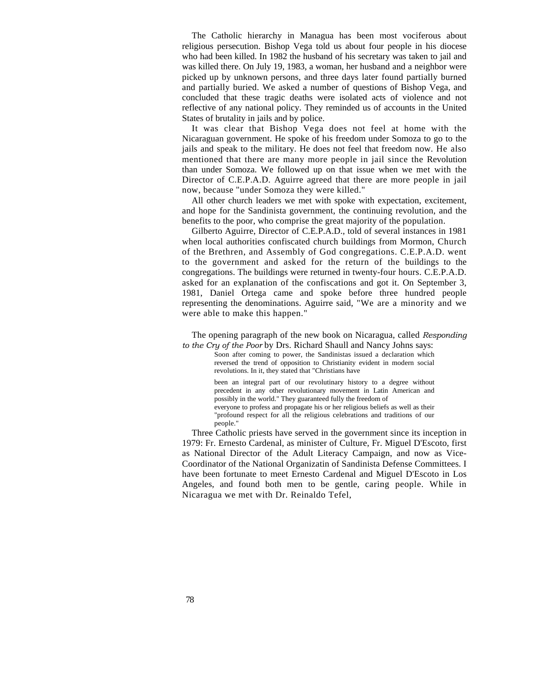The Catholic hierarchy in Managua has been most vociferous about religious persecution. Bishop Vega told us about four people in his diocese who had been killed. In 1982 the husband of his secretary was taken to jail and was killed there. On July 19, 1983, a woman, her husband and a neighbor were picked up by unknown persons, and three days later found partially burned and partially buried. We asked a number of questions of Bishop Vega, and concluded that these tragic deaths were isolated acts of violence and not reflective of any national policy. They reminded us of accounts in the United States of brutality in jails and by police.

It was clear that Bishop Vega does not feel at home with the Nicaraguan government. He spoke of his freedom under Somoza to go to the jails and speak to the military. He does not feel that freedom now. He also mentioned that there are many more people in jail since the Revolution than under Somoza. We followed up on that issue when we met with the Director of C.E.P.A.D. Aguirre agreed that there are more people in jail now, because "under Somoza they were killed."

All other church leaders we met with spoke with expectation, excitement, and hope for the Sandinista government, the continuing revolution, and the benefits to the poor, who comprise the great majority of the population.

Gilberto Aguirre, Director of C.E.P.A.D., told of several instances in 1981 when local authorities confiscated church buildings from Mormon, Church of the Brethren, and Assembly of God [congregations. C.E.P.A.D. went](http://congregations.c.e.p.a.d.went/) to the government and asked for the return of the buildings to the congregations. The buildings were returned in twenty-four [hours. C.E.P.A.D.](http://hours.c.e.p.a.d.asked/)  [asked](http://hours.c.e.p.a.d.asked/) for an explanation of the confiscations and got it. On September 3, 1981, Daniel Ortega came and spoke before three hundred people representing the denominations. Aguirre said, "We are a minority and we were able to make this happen."

The opening paragraph of the new book on Nicaragua, called *Responding to the Cry of the Poor* by Drs. Richard Shaull and Nancy Johns says:

Soon after coming to power, the Sandinistas issued a declaration which reversed the trend of opposition to Christianity evident in modern social revolutions. In it, they stated that "Christians have

been an integral part of our revolutinary history to a degree without precedent in any other revolutionary movement in Latin American and possibly in the world." They guaranteed fully the freedom of everyone to profess and propagate his or her religious beliefs as well as their "profound respect for all the religious celebrations and traditions of our people."

Three Catholic priests have served in the government since its inception in 1979: Fr. Ernesto Cardenal, as minister of Culture, Fr. Miguel D'Escoto, first as National Director of the Adult Literacy Campaign, and now as Vice-Coordinator of the National Organizatin of Sandinista Defense Committees. I have been fortunate to meet Ernesto Cardenal and Miguel D'Escoto in Los Angeles, and found both men to be gentle, caring people. While in Nicaragua we met with Dr. Reinaldo Tefel,